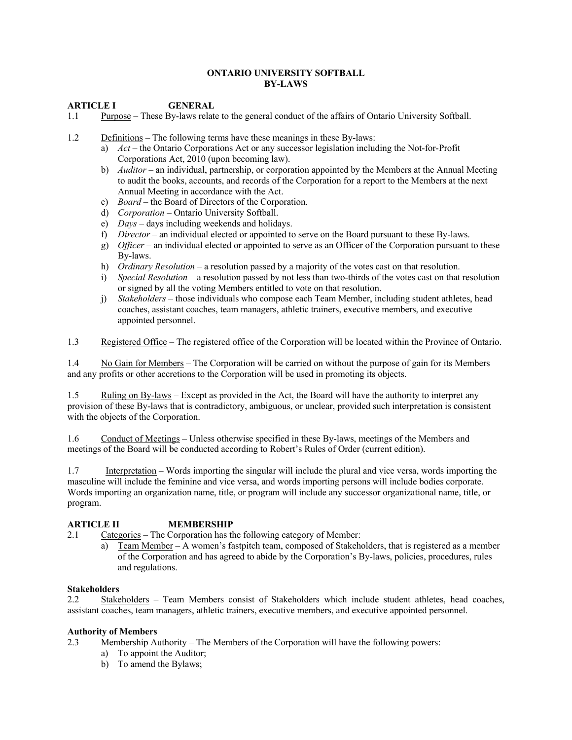#### **ONTARIO UNIVERSITY SOFTBALL BY-LAWS**

### **ARTICLE I GENERAL**

- 1.1 Purpose These By-laws relate to the general conduct of the affairs of Ontario University Softball.
- 1.2 Definitions The following terms have these meanings in these By-laws:
	- a) *Act* the Ontario Corporations Act or any successor legislation including the Not-for-Profit Corporations Act, 2010 (upon becoming law).
	- b) *Auditor* an individual, partnership, or corporation appointed by the Members at the Annual Meeting to audit the books, accounts, and records of the Corporation for a report to the Members at the next Annual Meeting in accordance with the Act.
	- c) *Board* the Board of Directors of the Corporation.
	- d) *Corporation* Ontario University Softball.
	- e) *Days* days including weekends and holidays.
	- f) *Director* an individual elected or appointed to serve on the Board pursuant to these By-laws.
	- g) *Officer* an individual elected or appointed to serve as an Officer of the Corporation pursuant to these By-laws.
	- h) *Ordinary Resolution* a resolution passed by a majority of the votes cast on that resolution.
	- i) *Special Resolution* a resolution passed by not less than two-thirds of the votes cast on that resolution or signed by all the voting Members entitled to vote on that resolution.
	- j) *Stakeholders*  those individuals who compose each Team Member, including student athletes, head coaches, assistant coaches, team managers, athletic trainers, executive members, and executive appointed personnel.

1.3 Registered Office – The registered office of the Corporation will be located within the Province of Ontario.

1.4 No Gain for Members – The Corporation will be carried on without the purpose of gain for its Members and any profits or other accretions to the Corporation will be used in promoting its objects.

1.5 Ruling on By-laws – Except as provided in the Act, the Board will have the authority to interpret any provision of these By-laws that is contradictory, ambiguous, or unclear, provided such interpretation is consistent with the objects of the Corporation.

1.6 Conduct of Meetings – Unless otherwise specified in these By-laws, meetings of the Members and meetings of the Board will be conducted according to Robert's Rules of Order (current edition).

1.7 Interpretation – Words importing the singular will include the plural and vice versa, words importing the masculine will include the feminine and vice versa, and words importing persons will include bodies corporate. Words importing an organization name, title, or program will include any successor organizational name, title, or program.

### **ARTICLE II MEMBERSHIP**

- 2.1 Categories The Corporation has the following category of Member:
	- a) Team Member A women's fastpitch team, composed of Stakeholders, that is registered as a member of the Corporation and has agreed to abide by the Corporation's By-laws, policies, procedures, rules and regulations.

#### **Stakeholders**

2.2 Stakeholders – Team Members consist of Stakeholders which include student athletes, head coaches, assistant coaches, team managers, athletic trainers, executive members, and executive appointed personnel.

#### **Authority of Members**

2.3 Membership Authority – The Members of the Corporation will have the following powers:

- a) To appoint the Auditor;
- b) To amend the Bylaws;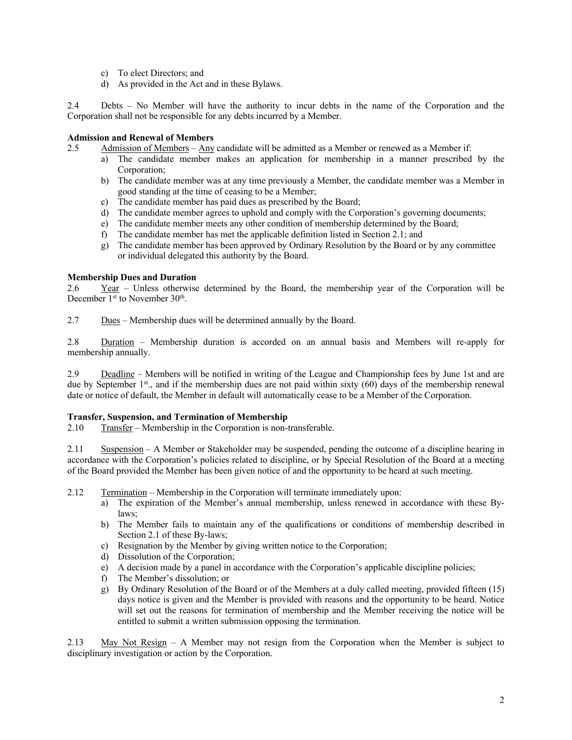- c) To elect Directors; and
- d) As provided in the Act and in these Bylaws.

2.4 Debts – No Member will have the authority to incur debts in the name of the Corporation and the Corporation shall not be responsible for any debts incurred by a Member.

## **Admission and Renewal of Members**

- 2.5 Admission of Members Any candidate will be admitted as a Member or renewed as a Member if:
	- a) The candidate member makes an application for membership in a manner prescribed by the Corporation;
	- b) The candidate member was at any time previously a Member, the candidate member was a Member in good standing at the time of ceasing to be a Member;
	- c) The candidate member has paid dues as prescribed by the Board;
	- d) The candidate member agrees to uphold and comply with the Corporation's governing documents;
	- e) The candidate member meets any other condition of membership determined by the Board;
	- f) The candidate member has met the applicable definition listed in Section 2.1; and
	- g) The candidate member has been approved by Ordinary Resolution by the Board or by any committee or individual delegated this authority by the Board.

### **Membership Dues and Duration**

2.6 Year – Unless otherwise determined by the Board, the membership year of the Corporation will be December 1<sup>st</sup> to November 30<sup>th</sup>.

2.7 Dues – Membership dues will be determined annually by the Board.

2.8 Duration – Membership duration is accorded on an annual basis and Members will re-apply for membership annually.

2.9 Deadline – Members will be notified in writing of the League and Championship fees by June 1st and are due by September  $1<sup>st</sup>$ , and if the membership dues are not paid within sixty (60) days of the membership renewal date or notice of default, the Member in default will automatically cease to be a Member of the Corporation.

### **Transfer, Suspension, and Termination of Membership**

2.10 Transfer – Membership in the Corporation is non-transferable.

2.11 Suspension – A Member or Stakeholder may be suspended, pending the outcome of a discipline hearing in accordance with the Corporation's policies related to discipline, or by Special Resolution of the Board at a meeting of the Board provided the Member has been given notice of and the opportunity to be heard at such meeting.

2.12 Termination – Membership in the Corporation will terminate immediately upon:

- a) The expiration of the Member's annual membership, unless renewed in accordance with these Bylaws;
- b) The Member fails to maintain any of the qualifications or conditions of membership described in Section 2.1 of these By-laws;
- c) Resignation by the Member by giving written notice to the Corporation;
- d) Dissolution of the Corporation;
- e) A decision made by a panel in accordance with the Corporation's applicable discipline policies;
- f) The Member's dissolution; or
- g) By Ordinary Resolution of the Board or of the Members at a duly called meeting, provided fifteen (15) days notice is given and the Member is provided with reasons and the opportunity to be heard. Notice will set out the reasons for termination of membership and the Member receiving the notice will be entitled to submit a written submission opposing the termination.

2.13 May Not Resign – A Member may not resign from the Corporation when the Member is subject to disciplinary investigation or action by the Corporation.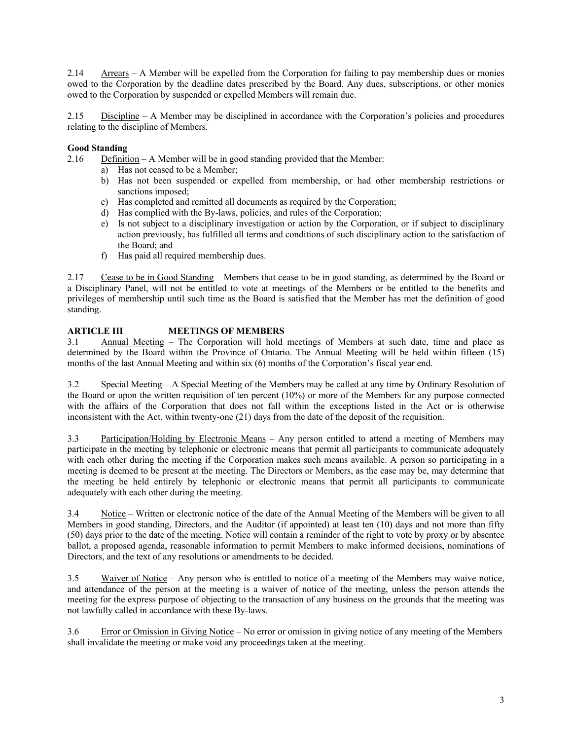2.14 Arrears – A Member will be expelled from the Corporation for failing to pay membership dues or monies owed to the Corporation by the deadline dates prescribed by the Board. Any dues, subscriptions, or other monies owed to the Corporation by suspended or expelled Members will remain due.

2.15 Discipline – A Member may be disciplined in accordance with the Corporation's policies and procedures relating to the discipline of Members.

# **Good Standing**

2.16 Definition – A Member will be in good standing provided that the Member:

- a) Has not ceased to be a Member;
- b) Has not been suspended or expelled from membership, or had other membership restrictions or sanctions imposed;
- c) Has completed and remitted all documents as required by the Corporation;
- d) Has complied with the By-laws, policies, and rules of the Corporation;
- e) Is not subject to a disciplinary investigation or action by the Corporation, or if subject to disciplinary action previously, has fulfilled all terms and conditions of such disciplinary action to the satisfaction of the Board; and
- f) Has paid all required membership dues.

2.17 Cease to be in Good Standing – Members that cease to be in good standing, as determined by the Board or a Disciplinary Panel, will not be entitled to vote at meetings of the Members or be entitled to the benefits and privileges of membership until such time as the Board is satisfied that the Member has met the definition of good standing.

# **ARTICLE III MEETINGS OF MEMBERS**

3.1 Annual Meeting – The Corporation will hold meetings of Members at such date, time and place as determined by the Board within the Province of Ontario. The Annual Meeting will be held within fifteen (15) months of the last Annual Meeting and within six (6) months of the Corporation's fiscal year end.

3.2 Special Meeting – A Special Meeting of the Members may be called at any time by Ordinary Resolution of the Board or upon the written requisition of ten percent (10%) or more of the Members for any purpose connected with the affairs of the Corporation that does not fall within the exceptions listed in the Act or is otherwise inconsistent with the Act, within twenty-one (21) days from the date of the deposit of the requisition.

3.3 Participation/Holding by Electronic Means – Any person entitled to attend a meeting of Members may participate in the meeting by telephonic or electronic means that permit all participants to communicate adequately with each other during the meeting if the Corporation makes such means available. A person so participating in a meeting is deemed to be present at the meeting. The Directors or Members, as the case may be, may determine that the meeting be held entirely by telephonic or electronic means that permit all participants to communicate adequately with each other during the meeting.

3.4 Notice – Written or electronic notice of the date of the Annual Meeting of the Members will be given to all Members in good standing, Directors, and the Auditor (if appointed) at least ten (10) days and not more than fifty (50) days prior to the date of the meeting. Notice will contain a reminder of the right to vote by proxy or by absentee ballot, a proposed agenda, reasonable information to permit Members to make informed decisions, nominations of Directors, and the text of any resolutions or amendments to be decided.

3.5 Waiver of Notice – Any person who is entitled to notice of a meeting of the Members may waive notice, and attendance of the person at the meeting is a waiver of notice of the meeting, unless the person attends the meeting for the express purpose of objecting to the transaction of any business on the grounds that the meeting was not lawfully called in accordance with these By-laws.

3.6 Error or Omission in Giving Notice – No error or omission in giving notice of any meeting of the Members shall invalidate the meeting or make void any proceedings taken at the meeting.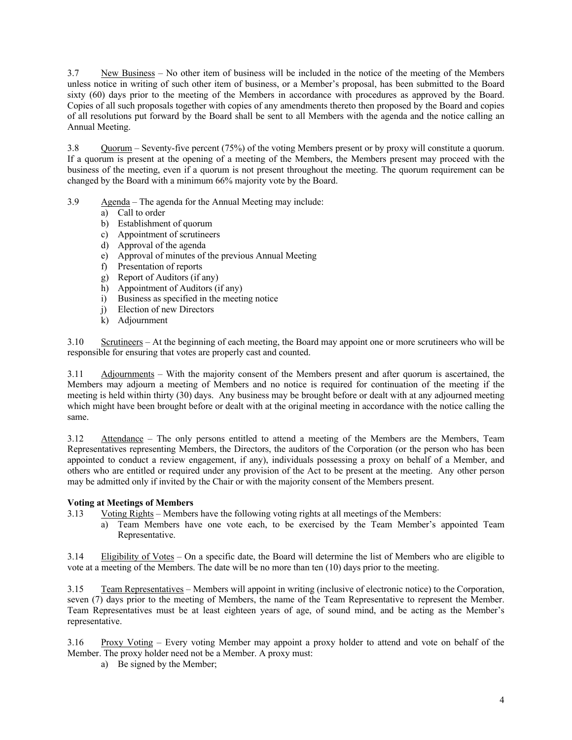3.7 New Business – No other item of business will be included in the notice of the meeting of the Members unless notice in writing of such other item of business, or a Member's proposal, has been submitted to the Board sixty (60) days prior to the meeting of the Members in accordance with procedures as approved by the Board. Copies of all such proposals together with copies of any amendments thereto then proposed by the Board and copies of all resolutions put forward by the Board shall be sent to all Members with the agenda and the notice calling an Annual Meeting.

3.8 Quorum – Seventy-five percent (75%) of the voting Members present or by proxy will constitute a quorum. If a quorum is present at the opening of a meeting of the Members, the Members present may proceed with the business of the meeting, even if a quorum is not present throughout the meeting. The quorum requirement can be changed by the Board with a minimum 66% majority vote by the Board.

- 3.9 Agenda The agenda for the Annual Meeting may include:
	- a) Call to order
	- b) Establishment of quorum
	- c) Appointment of scrutineers
	- d) Approval of the agenda
	- e) Approval of minutes of the previous Annual Meeting
	- f) Presentation of reports
	- g) Report of Auditors (if any)
	- h) Appointment of Auditors (if any)
	- i) Business as specified in the meeting notice
	- j) Election of new Directors
	- k) Adjournment

3.10 Scrutineers – At the beginning of each meeting, the Board may appoint one or more scrutineers who will be responsible for ensuring that votes are properly cast and counted.

3.11 Adjournments – With the majority consent of the Members present and after quorum is ascertained, the Members may adjourn a meeting of Members and no notice is required for continuation of the meeting if the meeting is held within thirty (30) days. Any business may be brought before or dealt with at any adjourned meeting which might have been brought before or dealt with at the original meeting in accordance with the notice calling the same.

3.12 Attendance – The only persons entitled to attend a meeting of the Members are the Members, Team Representatives representing Members, the Directors, the auditors of the Corporation (or the person who has been appointed to conduct a review engagement, if any), individuals possessing a proxy on behalf of a Member, and others who are entitled or required under any provision of the Act to be present at the meeting. Any other person may be admitted only if invited by the Chair or with the majority consent of the Members present.

### **Voting at Meetings of Members**

- 3.13 Voting Rights Members have the following voting rights at all meetings of the Members:
	- a) Team Members have one vote each, to be exercised by the Team Member's appointed Team Representative.

3.14 Eligibility of Votes – On a specific date, the Board will determine the list of Members who are eligible to vote at a meeting of the Members. The date will be no more than ten (10) days prior to the meeting.

3.15 Team Representatives – Members will appoint in writing (inclusive of electronic notice) to the Corporation, seven (7) days prior to the meeting of Members, the name of the Team Representative to represent the Member. Team Representatives must be at least eighteen years of age, of sound mind, and be acting as the Member's representative.

3.16 Proxy Voting – Every voting Member may appoint a proxy holder to attend and vote on behalf of the Member. The proxy holder need not be a Member. A proxy must:

a) Be signed by the Member;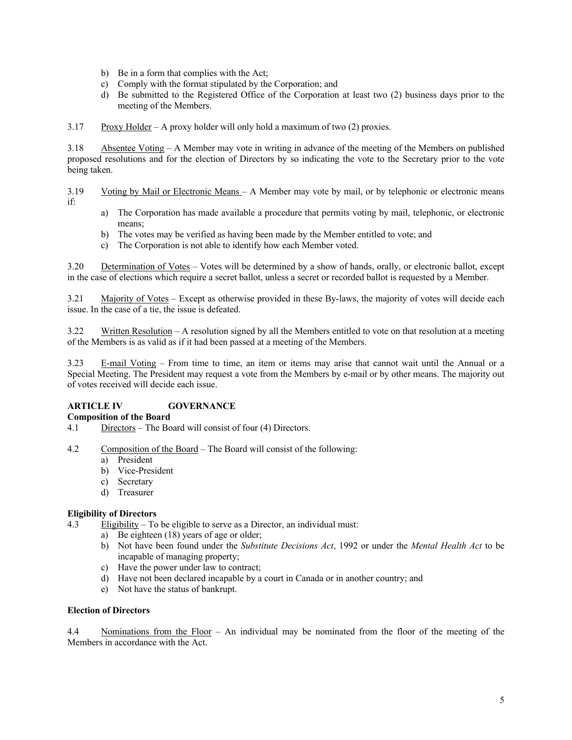- b) Be in a form that complies with the Act;
- c) Comply with the format stipulated by the Corporation; and
- d) Be submitted to the Registered Office of the Corporation at least two (2) business days prior to the meeting of the Members.

3.17 Proxy Holder – A proxy holder will only hold a maximum of two  $(2)$  proxies.

3.18 Absentee Voting – A Member may vote in writing in advance of the meeting of the Members on published proposed resolutions and for the election of Directors by so indicating the vote to the Secretary prior to the vote being taken.

3.19 Voting by Mail or Electronic Means – A Member may vote by mail, or by telephonic or electronic means if:

- a) The Corporation has made available a procedure that permits voting by mail, telephonic, or electronic means;
- b) The votes may be verified as having been made by the Member entitled to vote; and
- c) The Corporation is not able to identify how each Member voted.

3.20 Determination of Votes – Votes will be determined by a show of hands, orally, or electronic ballot, except in the case of elections which require a secret ballot, unless a secret or recorded ballot is requested by a Member.

3.21 Majority of Votes – Except as otherwise provided in these By-laws, the majority of votes will decide each issue. In the case of a tie, the issue is defeated.

3.22 Written Resolution – A resolution signed by all the Members entitled to vote on that resolution at a meeting of the Members is as valid as if it had been passed at a meeting of the Members.

3.23 E-mail Voting – From time to time, an item or items may arise that cannot wait until the Annual or a Special Meeting. The President may request a vote from the Members by e-mail or by other means. The majority out of votes received will decide each issue.

# **ARTICLE IV GOVERNANCE**

## **Composition of the Board**

- 4.1 Directors The Board will consist of four (4) Directors.
- 4.2 Composition of the Board The Board will consist of the following:
	- a) President
	- b) Vice-President
	- c) Secretary
	- d) Treasurer

### **Eligibility of Directors**

4.3 Eligibility – To be eligible to serve as a Director, an individual must:

- a) Be eighteen (18) years of age or older;
- b) Not have been found under the *Substitute Decisions Act*, 1992 or under the *Mental Health Act* to be incapable of managing property;
- c) Have the power under law to contract;
- d) Have not been declared incapable by a court in Canada or in another country; and
- e) Not have the status of bankrupt.

#### **Election of Directors**

4.4 Nominations from the Floor – An individual may be nominated from the floor of the meeting of the Members in accordance with the Act.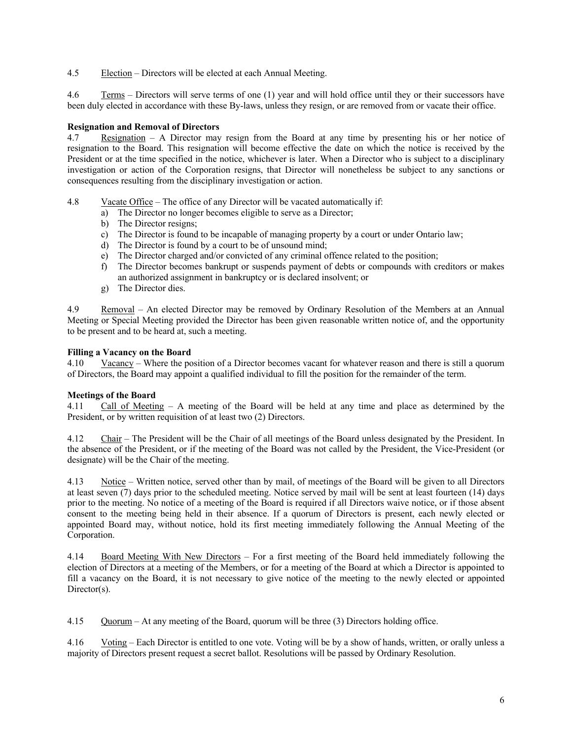4.5 Election – Directors will be elected at each Annual Meeting.

4.6 Terms – Directors will serve terms of one (1) year and will hold office until they or their successors have been duly elected in accordance with these By-laws, unless they resign, or are removed from or vacate their office.

## **Resignation and Removal of Directors**

4.7 Resignation – A Director may resign from the Board at any time by presenting his or her notice of resignation to the Board. This resignation will become effective the date on which the notice is received by the President or at the time specified in the notice, whichever is later. When a Director who is subject to a disciplinary investigation or action of the Corporation resigns, that Director will nonetheless be subject to any sanctions or consequences resulting from the disciplinary investigation or action.

- 4.8 Vacate Office The office of any Director will be vacated automatically if:
	- a) The Director no longer becomes eligible to serve as a Director;
	- b) The Director resigns;
	- c) The Director is found to be incapable of managing property by a court or under Ontario law;
	- d) The Director is found by a court to be of unsound mind;
	- e) The Director charged and/or convicted of any criminal offence related to the position;
	- f) The Director becomes bankrupt or suspends payment of debts or compounds with creditors or makes an authorized assignment in bankruptcy or is declared insolvent; or
	- g) The Director dies.

4.9 Removal – An elected Director may be removed by Ordinary Resolution of the Members at an Annual Meeting or Special Meeting provided the Director has been given reasonable written notice of, and the opportunity to be present and to be heard at, such a meeting.

## **Filling a Vacancy on the Board**

4.10 Vacancy – Where the position of a Director becomes vacant for whatever reason and there is still a quorum of Directors, the Board may appoint a qualified individual to fill the position for the remainder of the term.

# **Meetings of the Board**

4.11 Call of Meeting – A meeting of the Board will be held at any time and place as determined by the President, or by written requisition of at least two (2) Directors.

4.12 Chair – The President will be the Chair of all meetings of the Board unless designated by the President. In the absence of the President, or if the meeting of the Board was not called by the President, the Vice-President (or designate) will be the Chair of the meeting.

4.13 Notice – Written notice, served other than by mail, of meetings of the Board will be given to all Directors at least seven (7) days prior to the scheduled meeting. Notice served by mail will be sent at least fourteen (14) days prior to the meeting. No notice of a meeting of the Board is required if all Directors waive notice, or if those absent consent to the meeting being held in their absence. If a quorum of Directors is present, each newly elected or appointed Board may, without notice, hold its first meeting immediately following the Annual Meeting of the Corporation.

4.14 Board Meeting With New Directors – For a first meeting of the Board held immediately following the election of Directors at a meeting of the Members, or for a meeting of the Board at which a Director is appointed to fill a vacancy on the Board, it is not necessary to give notice of the meeting to the newly elected or appointed Director(s).

4.15 Quorum – At any meeting of the Board, quorum will be three (3) Directors holding office.

4.16 Voting – Each Director is entitled to one vote. Voting will be by a show of hands, written, or orally unless a majority of Directors present request a secret ballot. Resolutions will be passed by Ordinary Resolution.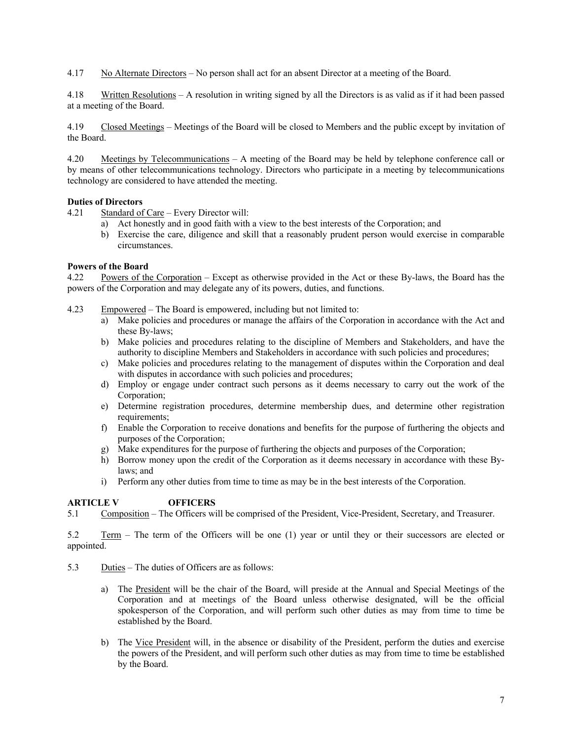4.17 No Alternate Directors – No person shall act for an absent Director at a meeting of the Board.

4.18 Written Resolutions – A resolution in writing signed by all the Directors is as valid as if it had been passed at a meeting of the Board.

4.19 Closed Meetings – Meetings of the Board will be closed to Members and the public except by invitation of the Board.

4.20 Meetings by Telecommunications – A meeting of the Board may be held by telephone conference call or by means of other telecommunications technology. Directors who participate in a meeting by telecommunications technology are considered to have attended the meeting.

## **Duties of Directors**

4.21 Standard of Care – Every Director will:

- a) Act honestly and in good faith with a view to the best interests of the Corporation; and
- b) Exercise the care, diligence and skill that a reasonably prudent person would exercise in comparable circumstances.

### **Powers of the Board**

4.22 Powers of the Corporation – Except as otherwise provided in the Act or these By-laws, the Board has the powers of the Corporation and may delegate any of its powers, duties, and functions.

- 4.23 Empowered The Board is empowered, including but not limited to:
	- a) Make policies and procedures or manage the affairs of the Corporation in accordance with the Act and these By-laws;
	- b) Make policies and procedures relating to the discipline of Members and Stakeholders, and have the authority to discipline Members and Stakeholders in accordance with such policies and procedures;
	- c) Make policies and procedures relating to the management of disputes within the Corporation and deal with disputes in accordance with such policies and procedures;
	- d) Employ or engage under contract such persons as it deems necessary to carry out the work of the Corporation;
	- e) Determine registration procedures, determine membership dues, and determine other registration requirements;
	- f) Enable the Corporation to receive donations and benefits for the purpose of furthering the objects and purposes of the Corporation;
	- g) Make expenditures for the purpose of furthering the objects and purposes of the Corporation;
	- h) Borrow money upon the credit of the Corporation as it deems necessary in accordance with these Bylaws; and
	- i) Perform any other duties from time to time as may be in the best interests of the Corporation.

# **ARTICLE V OFFICERS**

5.1 Composition – The Officers will be comprised of the President, Vice-President, Secretary, and Treasurer.

5.2 Term – The term of the Officers will be one (1) year or until they or their successors are elected or appointed.

- 5.3 Duties The duties of Officers are as follows:
	- a) The President will be the chair of the Board, will preside at the Annual and Special Meetings of the Corporation and at meetings of the Board unless otherwise designated, will be the official spokesperson of the Corporation, and will perform such other duties as may from time to time be established by the Board.
	- b) The Vice President will, in the absence or disability of the President, perform the duties and exercise the powers of the President, and will perform such other duties as may from time to time be established by the Board.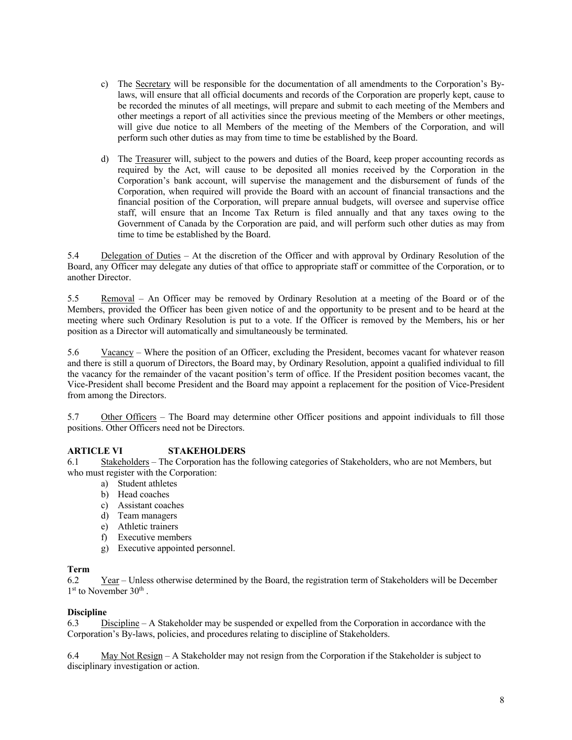- c) The Secretary will be responsible for the documentation of all amendments to the Corporation's Bylaws, will ensure that all official documents and records of the Corporation are properly kept, cause to be recorded the minutes of all meetings, will prepare and submit to each meeting of the Members and other meetings a report of all activities since the previous meeting of the Members or other meetings, will give due notice to all Members of the meeting of the Members of the Corporation, and will perform such other duties as may from time to time be established by the Board.
- d) The Treasurer will, subject to the powers and duties of the Board, keep proper accounting records as required by the Act, will cause to be deposited all monies received by the Corporation in the Corporation's bank account, will supervise the management and the disbursement of funds of the Corporation, when required will provide the Board with an account of financial transactions and the financial position of the Corporation, will prepare annual budgets, will oversee and supervise office staff, will ensure that an Income Tax Return is filed annually and that any taxes owing to the Government of Canada by the Corporation are paid, and will perform such other duties as may from time to time be established by the Board.

5.4 Delegation of Duties – At the discretion of the Officer and with approval by Ordinary Resolution of the Board, any Officer may delegate any duties of that office to appropriate staff or committee of the Corporation, or to another Director.

5.5 Removal – An Officer may be removed by Ordinary Resolution at a meeting of the Board or of the Members, provided the Officer has been given notice of and the opportunity to be present and to be heard at the meeting where such Ordinary Resolution is put to a vote. If the Officer is removed by the Members, his or her position as a Director will automatically and simultaneously be terminated.

5.6 Vacancy – Where the position of an Officer, excluding the President, becomes vacant for whatever reason and there is still a quorum of Directors, the Board may, by Ordinary Resolution, appoint a qualified individual to fill the vacancy for the remainder of the vacant position's term of office. If the President position becomes vacant, the Vice-President shall become President and the Board may appoint a replacement for the position of Vice-President from among the Directors.

5.7 Other Officers – The Board may determine other Officer positions and appoint individuals to fill those positions. Other Officers need not be Directors.

### **ARTICLE VI STAKEHOLDERS**

6.1 Stakeholders – The Corporation has the following categories of Stakeholders, who are not Members, but who must register with the Corporation:

- a) Student athletes
- b) Head coaches
- c) Assistant coaches
- d) Team managers
- e) Athletic trainers
- f) Executive members
- g) Executive appointed personnel.

#### **Term**

6.2 Year – Unless otherwise determined by the Board, the registration term of Stakeholders will be December 1<sup>st</sup> to November 30<sup>th</sup>.

## **Discipline**

6.3 Discipline – A Stakeholder may be suspended or expelled from the Corporation in accordance with the Corporation's By-laws, policies, and procedures relating to discipline of Stakeholders.

6.4 May Not Resign – A Stakeholder may not resign from the Corporation if the Stakeholder is subject to disciplinary investigation or action.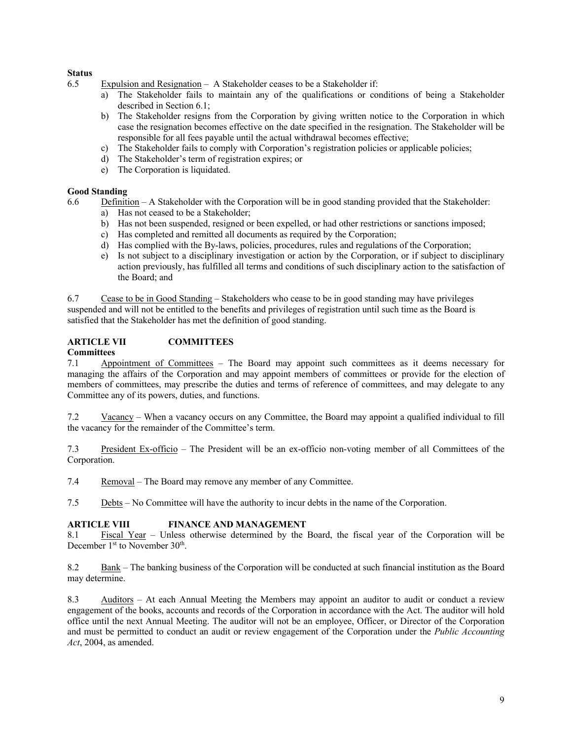## **Status**

- 6.5 Expulsion and Resignation A Stakeholder ceases to be a Stakeholder if:
	- a) The Stakeholder fails to maintain any of the qualifications or conditions of being a Stakeholder described in Section 6.1;
	- b) The Stakeholder resigns from the Corporation by giving written notice to the Corporation in which case the resignation becomes effective on the date specified in the resignation. The Stakeholder will be responsible for all fees payable until the actual withdrawal becomes effective;
	- c) The Stakeholder fails to comply with Corporation's registration policies or applicable policies;
	- d) The Stakeholder's term of registration expires; or
	- e) The Corporation is liquidated.

### **Good Standing**

- 6.6 Definition A Stakeholder with the Corporation will be in good standing provided that the Stakeholder:
	- a) Has not ceased to be a Stakeholder;
	- b) Has not been suspended, resigned or been expelled, or had other restrictions or sanctions imposed;
	- c) Has completed and remitted all documents as required by the Corporation;
	- d) Has complied with the By-laws, policies, procedures, rules and regulations of the Corporation;
	- e) Is not subject to a disciplinary investigation or action by the Corporation, or if subject to disciplinary action previously, has fulfilled all terms and conditions of such disciplinary action to the satisfaction of the Board; and

6.7 Cease to be in Good Standing – Stakeholders who cease to be in good standing may have privileges suspended and will not be entitled to the benefits and privileges of registration until such time as the Board is satisfied that the Stakeholder has met the definition of good standing.

## **ARTICLE VII COMMITTEES**

### **Committees**

7.1 Appointment of Committees – The Board may appoint such committees as it deems necessary for managing the affairs of the Corporation and may appoint members of committees or provide for the election of members of committees, may prescribe the duties and terms of reference of committees, and may delegate to any Committee any of its powers, duties, and functions.

7.2 Vacancy – When a vacancy occurs on any Committee, the Board may appoint a qualified individual to fill the vacancy for the remainder of the Committee's term.

7.3 President Ex-officio – The President will be an ex-officio non-voting member of all Committees of the Corporation.

7.4 Removal – The Board may remove any member of any Committee.

7.5 Debts – No Committee will have the authority to incur debts in the name of the Corporation.

### **ARTICLE VIII FINANCE AND MANAGEMENT**

8.1 Fiscal Year – Unless otherwise determined by the Board, the fiscal year of the Corporation will be December 1<sup>st</sup> to November 30<sup>th</sup>.

8.2 Bank – The banking business of the Corporation will be conducted at such financial institution as the Board may determine.

8.3 Auditors – At each Annual Meeting the Members may appoint an auditor to audit or conduct a review engagement of the books, accounts and records of the Corporation in accordance with the Act. The auditor will hold office until the next Annual Meeting. The auditor will not be an employee, Officer, or Director of the Corporation and must be permitted to conduct an audit or review engagement of the Corporation under the *Public Accounting Act*, 2004, as amended.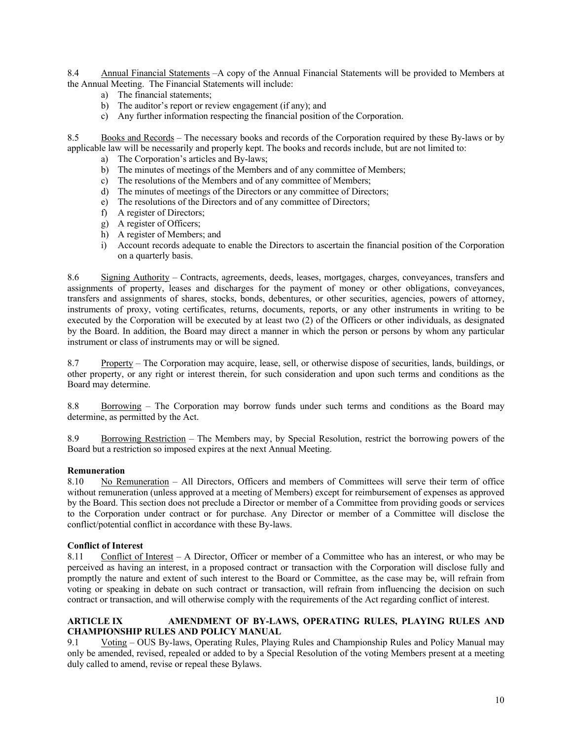8.4 Annual Financial Statements –A copy of the Annual Financial Statements will be provided to Members at the Annual Meeting. The Financial Statements will include:

- a) The financial statements;
- b) The auditor's report or review engagement (if any); and
- c) Any further information respecting the financial position of the Corporation.

8.5 Books and Records – The necessary books and records of the Corporation required by these By-laws or by applicable law will be necessarily and properly kept. The books and records include, but are not limited to:

- a) The Corporation's articles and By-laws;
- b) The minutes of meetings of the Members and of any committee of Members;
- c) The resolutions of the Members and of any committee of Members;
- d) The minutes of meetings of the Directors or any committee of Directors;
- e) The resolutions of the Directors and of any committee of Directors;
- f) A register of Directors;
- g) A register of Officers;
- h) A register of Members; and
- i) Account records adequate to enable the Directors to ascertain the financial position of the Corporation on a quarterly basis.

8.6 Signing Authority – Contracts, agreements, deeds, leases, mortgages, charges, conveyances, transfers and assignments of property, leases and discharges for the payment of money or other obligations, conveyances, transfers and assignments of shares, stocks, bonds, debentures, or other securities, agencies, powers of attorney, instruments of proxy, voting certificates, returns, documents, reports, or any other instruments in writing to be executed by the Corporation will be executed by at least two (2) of the Officers or other individuals, as designated by the Board. In addition, the Board may direct a manner in which the person or persons by whom any particular instrument or class of instruments may or will be signed.

8.7 Property – The Corporation may acquire, lease, sell, or otherwise dispose of securities, lands, buildings, or other property, or any right or interest therein, for such consideration and upon such terms and conditions as the Board may determine.

8.8 Borrowing – The Corporation may borrow funds under such terms and conditions as the Board may determine, as permitted by the Act.

8.9 Borrowing Restriction – The Members may, by Special Resolution, restrict the borrowing powers of the Board but a restriction so imposed expires at the next Annual Meeting.

### **Remuneration**

8.10 No Remuneration – All Directors, Officers and members of Committees will serve their term of office without remuneration (unless approved at a meeting of Members) except for reimbursement of expenses as approved by the Board. This section does not preclude a Director or member of a Committee from providing goods or services to the Corporation under contract or for purchase. Any Director or member of a Committee will disclose the conflict/potential conflict in accordance with these By-laws.

### **Conflict of Interest**

8.11 Conflict of Interest – A Director, Officer or member of a Committee who has an interest, or who may be perceived as having an interest, in a proposed contract or transaction with the Corporation will disclose fully and promptly the nature and extent of such interest to the Board or Committee, as the case may be, will refrain from voting or speaking in debate on such contract or transaction, will refrain from influencing the decision on such contract or transaction, and will otherwise comply with the requirements of the Act regarding conflict of interest.

### **ARTICLE IX AMENDMENT OF BY-LAWS, OPERATING RULES, PLAYING RULES AND CHAMPIONSHIP RULES AND POLICY MANUAL**

9.1 Voting – OUS By-laws, Operating Rules, Playing Rules and Championship Rules and Policy Manual may only be amended, revised, repealed or added to by a Special Resolution of the voting Members present at a meeting duly called to amend, revise or repeal these Bylaws.